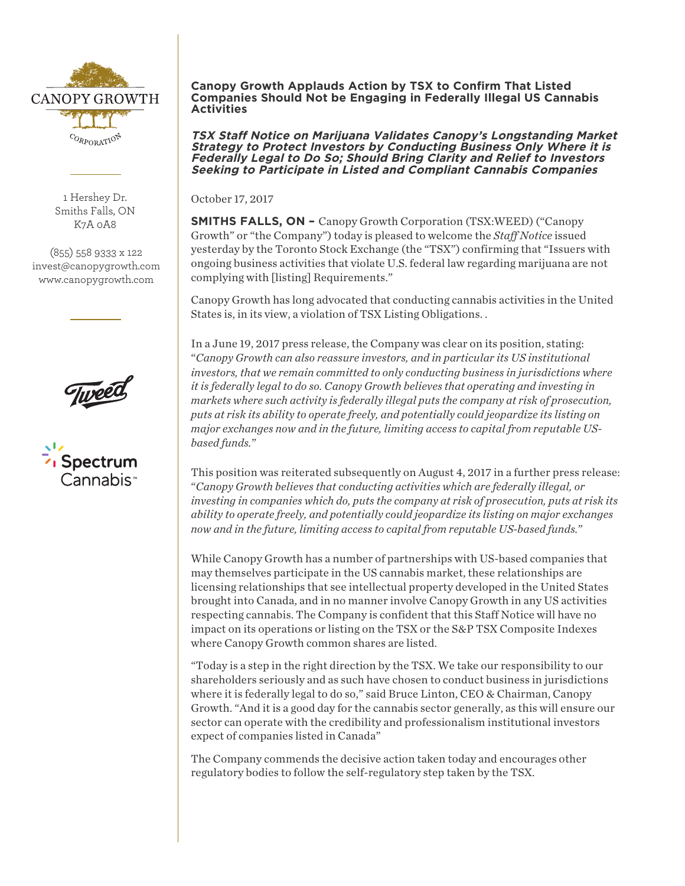

1 Hershey Dr. Smiths Falls, ON K7A 0A8

(855) 558 9333 x 122 invest@canopygrowth.com www.canopygrowth.com





## **Canopy Growth Applauds Action by TSX to Confirm That Listed Companies Should Not be Engaging in Federally Illegal US Cannabis Activities**

**TSX Staff Notice on Marijuana Validates Canopy's Longstanding Market Strategy to Protect Investors by Conducting Business Only Where it is Federally Legal to Do So; Should Bring Clarity and Relief to Investors Seeking to Participate in Listed and Compliant Cannabis Companies**

October 17, 2017

**SMITHS FALLS, ON -** Canopy Growth Corporation (TSX:WEED) ("Canopy Growth" or "the Company") today is pleased to welcome the *Staff Notice* issued yesterday by the Toronto Stock Exchange (the "TSX") confirming that "Issuers with ongoing business activities that violate U.S. federal law regarding marijuana are not complying with [listing] Requirements."

Canopy Growth has long advocated that conducting cannabis activities in the United States is, in its view, a violation of TSX Listing Obligations. .

In a June 19, 2017 press release, the Company was clear on its position, stating: "*Canopy Growth can also reassure investors, and in particular its US institutional investors, that we remain committed to only conducting business in jurisdictions where it is federally legal to do so. Canopy Growth believes that operating and investing in markets where such activity is federally illegal puts the company at risk of prosecution, puts at risk its ability to operate freely, and potentially could jeopardize its listing on major exchanges now and in the future, limiting access to capital from reputable USbased funds.*"

This position was reiterated subsequently on August 4, 2017 in a further press release: "*Canopy Growth believes that conducting activities which are federally illegal, or investing in companies which do, puts the company at risk of prosecution, puts at risk its ability to operate freely, and potentially could jeopardize its listing on major exchanges now and in the future, limiting access to capital from reputable US-based funds.*"

While Canopy Growth has a number of partnerships with US-based companies that may themselves participate in the US cannabis market, these relationships are licensing relationships that see intellectual property developed in the United States brought into Canada, and in no manner involve Canopy Growth in any US activities respecting cannabis. The Company is confident that this Staff Notice will have no impact on its operations or listing on the TSX or the S&P TSX Composite Indexes where Canopy Growth common shares are listed.

"Today is a step in the right direction by the TSX. We take our responsibility to our shareholders seriously and as such have chosen to conduct business in jurisdictions where it is federally legal to do so," said Bruce Linton, CEO & Chairman, Canopy Growth. "And it is a good day for the cannabis sector generally, as this will ensure our sector can operate with the credibility and professionalism institutional investors expect of companies listed in Canada"

The Company commends the decisive action taken today and encourages other regulatory bodies to follow the self-regulatory step taken by the TSX.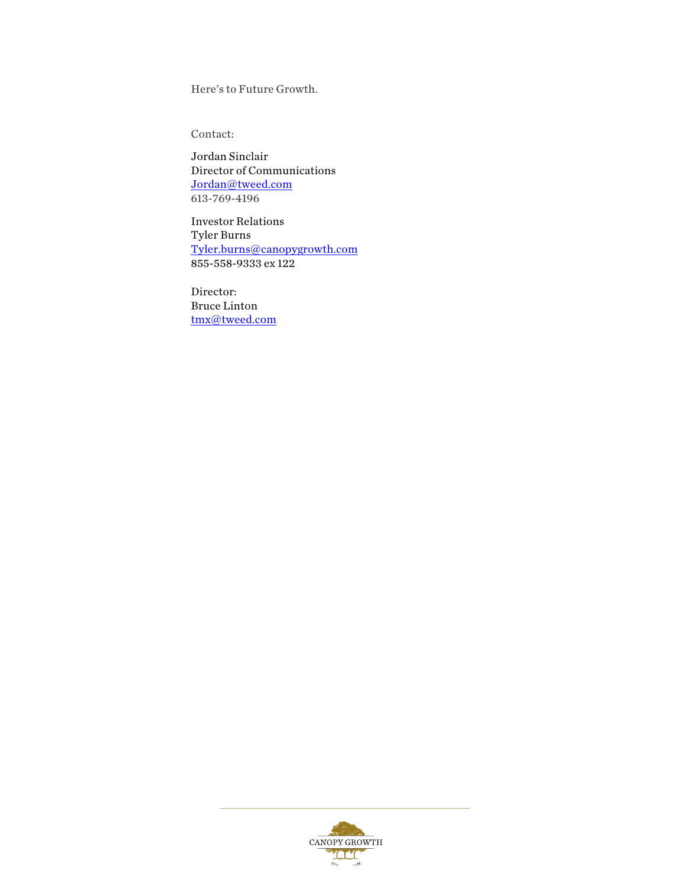Here's to Future Growth.

Contact:

Jordan Sinclair Director of Communications Jordan@tweed.com 613-769-4196

Investor Relations Tyler Burns Tyler.burns@canopygrowth.com 855-558-9333 ex 122

Director: Bruce Linton tmx@tweed.com